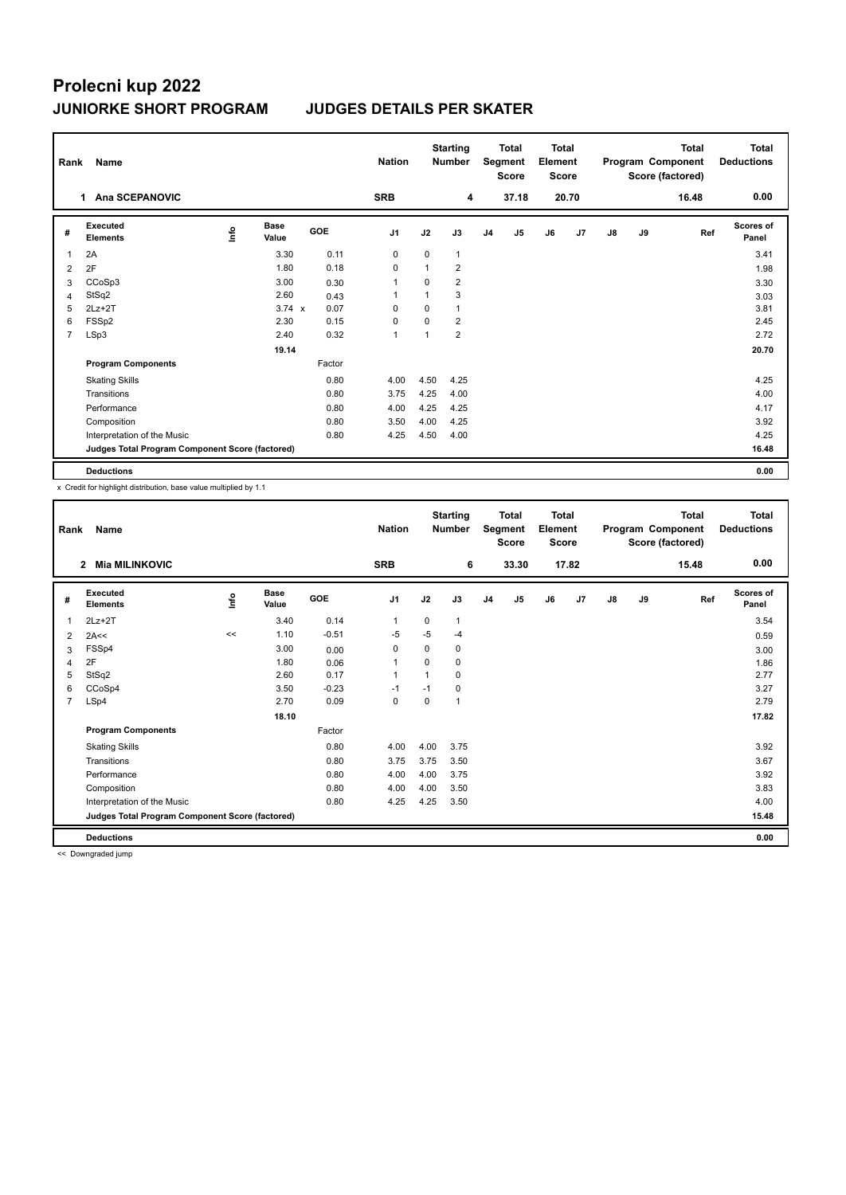| Rank           | Name                                            |      |                      |        | <b>Nation</b>  |             | <b>Starting</b><br><b>Total</b><br><b>Number</b><br>Segment<br><b>Score</b> |                | <b>Total</b><br>Element<br><b>Score</b> |    | <b>Total</b><br>Program Component<br>Score (factored) |               |    | <b>Total</b><br><b>Deductions</b> |                    |
|----------------|-------------------------------------------------|------|----------------------|--------|----------------|-------------|-----------------------------------------------------------------------------|----------------|-----------------------------------------|----|-------------------------------------------------------|---------------|----|-----------------------------------|--------------------|
|                | Ana SCEPANOVIC<br>1                             |      |                      |        | <b>SRB</b>     |             | 4                                                                           |                | 37.18                                   |    | 20.70                                                 |               |    | 16.48                             | 0.00               |
| #              | <b>Executed</b><br><b>Elements</b>              | Info | <b>Base</b><br>Value | GOE    | J <sub>1</sub> | J2          | J3                                                                          | J <sub>4</sub> | J5                                      | J6 | J7                                                    | $\mathsf{J}8$ | J9 | Ref                               | Scores of<br>Panel |
| $\overline{1}$ | 2A                                              |      | 3.30                 | 0.11   | 0              | $\mathbf 0$ | 1                                                                           |                |                                         |    |                                                       |               |    |                                   | 3.41               |
| 2              | 2F                                              |      | 1.80                 | 0.18   | 0              |             | $\overline{2}$                                                              |                |                                         |    |                                                       |               |    |                                   | 1.98               |
| 3              | CCoSp3                                          |      | 3.00                 | 0.30   | 1              | 0           | $\overline{2}$                                                              |                |                                         |    |                                                       |               |    |                                   | 3.30               |
| 4              | StSq2                                           |      | 2.60                 | 0.43   | 1              |             | 3                                                                           |                |                                         |    |                                                       |               |    |                                   | 3.03               |
| 5              | $2Lz+2T$                                        |      | $3.74 \times$        | 0.07   | $\Omega$       | $\Omega$    | 1                                                                           |                |                                         |    |                                                       |               |    |                                   | 3.81               |
| 6              | FSSp2                                           |      | 2.30                 | 0.15   | $\Omega$       | $\Omega$    | $\overline{2}$                                                              |                |                                         |    |                                                       |               |    |                                   | 2.45               |
| $\overline{7}$ | LSp3                                            |      | 2.40                 | 0.32   | $\overline{1}$ |             | $\overline{2}$                                                              |                |                                         |    |                                                       |               |    |                                   | 2.72               |
|                |                                                 |      | 19.14                |        |                |             |                                                                             |                |                                         |    |                                                       |               |    |                                   | 20.70              |
|                | <b>Program Components</b>                       |      |                      | Factor |                |             |                                                                             |                |                                         |    |                                                       |               |    |                                   |                    |
|                | <b>Skating Skills</b>                           |      |                      | 0.80   | 4.00           | 4.50        | 4.25                                                                        |                |                                         |    |                                                       |               |    |                                   | 4.25               |
|                | Transitions                                     |      |                      | 0.80   | 3.75           | 4.25        | 4.00                                                                        |                |                                         |    |                                                       |               |    |                                   | 4.00               |
|                | Performance                                     |      |                      | 0.80   | 4.00           | 4.25        | 4.25                                                                        |                |                                         |    |                                                       |               |    |                                   | 4.17               |
|                | Composition                                     |      |                      | 0.80   | 3.50           | 4.00        | 4.25                                                                        |                |                                         |    |                                                       |               |    |                                   | 3.92               |
|                | Interpretation of the Music                     |      |                      | 0.80   | 4.25           | 4.50        | 4.00                                                                        |                |                                         |    |                                                       |               |    |                                   | 4.25               |
|                | Judges Total Program Component Score (factored) |      |                      |        |                |             |                                                                             |                |                                         |    |                                                       |               |    |                                   | 16.48              |
|                | <b>Deductions</b>                               |      |                      |        |                |             |                                                                             |                |                                         |    |                                                       |               |    |                                   | 0.00               |

x Credit for highlight distribution, base value multiplied by 1.1

| Rank           | Name                                            |      |                      |         | <b>Nation</b>  |          | <b>Starting</b><br><b>Total</b><br>Segment<br><b>Number</b><br><b>Score</b> |                | <b>Total</b><br>Element<br><b>Score</b> |    | Program Component |    | <b>Total</b><br>Score (factored) | <b>Total</b><br><b>Deductions</b> |                    |
|----------------|-------------------------------------------------|------|----------------------|---------|----------------|----------|-----------------------------------------------------------------------------|----------------|-----------------------------------------|----|-------------------|----|----------------------------------|-----------------------------------|--------------------|
|                | <b>Mia MILINKOVIC</b><br>$\overline{2}$         |      |                      |         | <b>SRB</b>     |          | 6                                                                           |                | 33.30                                   |    | 17.82             |    |                                  | 15.48                             | 0.00               |
| #              | Executed<br><b>Elements</b>                     | lnfo | <b>Base</b><br>Value | GOE     | J <sub>1</sub> | J2       | J3                                                                          | J <sub>4</sub> | J <sub>5</sub>                          | J6 | J7                | J8 | J9                               | Ref                               | Scores of<br>Panel |
| 1              | $2Lz+2T$                                        |      | 3.40                 | 0.14    | 1              | 0        | 1                                                                           |                |                                         |    |                   |    |                                  |                                   | 3.54               |
| 2              | 2A<<                                            | <<   | 1.10                 | $-0.51$ | $-5$           | $-5$     | $-4$                                                                        |                |                                         |    |                   |    |                                  |                                   | 0.59               |
| 3              | FSSp4                                           |      | 3.00                 | 0.00    | 0              | 0        | 0                                                                           |                |                                         |    |                   |    |                                  |                                   | 3.00               |
| 4              | 2F                                              |      | 1.80                 | 0.06    | $\mathbf{1}$   | $\Omega$ | 0                                                                           |                |                                         |    |                   |    |                                  |                                   | 1.86               |
| 5              | StSq2                                           |      | 2.60                 | 0.17    | 1              | 1        | 0                                                                           |                |                                         |    |                   |    |                                  |                                   | 2.77               |
| 6              | CCoSp4                                          |      | 3.50                 | $-0.23$ | $-1$           | $-1$     | 0                                                                           |                |                                         |    |                   |    |                                  |                                   | 3.27               |
| $\overline{7}$ | LSp4                                            |      | 2.70                 | 0.09    | 0              | $\Omega$ | 1                                                                           |                |                                         |    |                   |    |                                  |                                   | 2.79               |
|                |                                                 |      | 18.10                |         |                |          |                                                                             |                |                                         |    |                   |    |                                  |                                   | 17.82              |
|                | <b>Program Components</b>                       |      |                      | Factor  |                |          |                                                                             |                |                                         |    |                   |    |                                  |                                   |                    |
|                | <b>Skating Skills</b>                           |      |                      | 0.80    | 4.00           | 4.00     | 3.75                                                                        |                |                                         |    |                   |    |                                  |                                   | 3.92               |
|                | Transitions                                     |      |                      | 0.80    | 3.75           | 3.75     | 3.50                                                                        |                |                                         |    |                   |    |                                  |                                   | 3.67               |
|                | Performance                                     |      |                      | 0.80    | 4.00           | 4.00     | 3.75                                                                        |                |                                         |    |                   |    |                                  |                                   | 3.92               |
|                | Composition                                     |      |                      | 0.80    | 4.00           | 4.00     | 3.50                                                                        |                |                                         |    |                   |    |                                  |                                   | 3.83               |
|                | Interpretation of the Music                     |      |                      | 0.80    | 4.25           | 4.25     | 3.50                                                                        |                |                                         |    |                   |    |                                  |                                   | 4.00               |
|                | Judges Total Program Component Score (factored) |      |                      |         |                |          |                                                                             |                |                                         |    |                   |    |                                  |                                   | 15.48              |
|                | <b>Deductions</b>                               |      |                      |         |                |          |                                                                             |                |                                         |    |                   |    |                                  |                                   | 0.00               |

<< Downgraded jump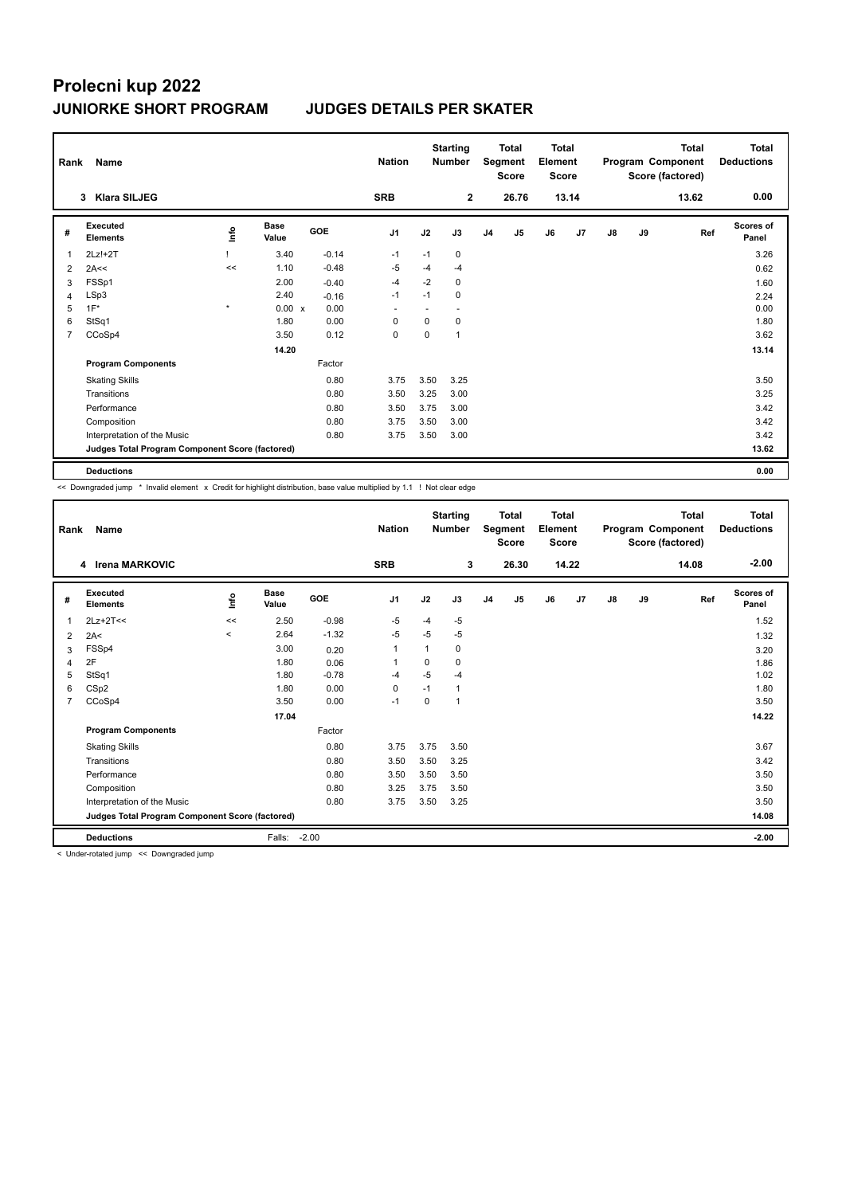| Rank           | <b>Name</b>                                     |             |                      |            | <b>Nation</b>  |      | <b>Starting</b><br><b>Number</b> | <b>Total</b><br>Segment<br><b>Score</b> |                | <b>Total</b><br>Element<br><b>Score</b> |                |               |    | <b>Total</b><br>Program Component<br>Score (factored) | <b>Total</b><br><b>Deductions</b> |
|----------------|-------------------------------------------------|-------------|----------------------|------------|----------------|------|----------------------------------|-----------------------------------------|----------------|-----------------------------------------|----------------|---------------|----|-------------------------------------------------------|-----------------------------------|
|                | <b>Klara SILJEG</b><br>3                        |             |                      |            | <b>SRB</b>     |      | $\overline{2}$                   |                                         | 26.76          |                                         | 13.14          |               |    | 13.62                                                 | 0.00                              |
| #              | Executed<br><b>Elements</b>                     | <u>info</u> | <b>Base</b><br>Value | <b>GOE</b> | J <sub>1</sub> | J2   | J3                               | J <sub>4</sub>                          | J <sub>5</sub> | J6                                      | J <sub>7</sub> | $\mathsf{J}8$ | J9 | Ref                                                   | <b>Scores of</b><br>Panel         |
| $\mathbf{1}$   | $2Lz!+2T$                                       |             | 3.40                 | $-0.14$    | -1             | $-1$ | 0                                |                                         |                |                                         |                |               |    |                                                       | 3.26                              |
| 2              | 2A<<                                            | <<          | 1.10                 | $-0.48$    | $-5$           | $-4$ | $-4$                             |                                         |                |                                         |                |               |    |                                                       | 0.62                              |
| 3              | FSSp1                                           |             | 2.00                 | $-0.40$    | $-4$           | $-2$ | 0                                |                                         |                |                                         |                |               |    |                                                       | 1.60                              |
| 4              | LSp3                                            |             | 2.40                 | $-0.16$    | $-1$           | $-1$ | 0                                |                                         |                |                                         |                |               |    |                                                       | 2.24                              |
| 5              | $1F^*$                                          | $\star$     | $0.00 \times$        | 0.00       | ٠              | ٠    | $\sim$                           |                                         |                |                                         |                |               |    |                                                       | 0.00                              |
| 6              | StSq1                                           |             | 1.80                 | 0.00       | 0              | 0    | 0                                |                                         |                |                                         |                |               |    |                                                       | 1.80                              |
| $\overline{7}$ | CCoSp4                                          |             | 3.50                 | 0.12       | 0              | 0    | 1                                |                                         |                |                                         |                |               |    |                                                       | 3.62                              |
|                |                                                 |             | 14.20                |            |                |      |                                  |                                         |                |                                         |                |               |    |                                                       | 13.14                             |
|                | <b>Program Components</b>                       |             |                      | Factor     |                |      |                                  |                                         |                |                                         |                |               |    |                                                       |                                   |
|                | <b>Skating Skills</b>                           |             |                      | 0.80       | 3.75           | 3.50 | 3.25                             |                                         |                |                                         |                |               |    |                                                       | 3.50                              |
|                | Transitions                                     |             |                      | 0.80       | 3.50           | 3.25 | 3.00                             |                                         |                |                                         |                |               |    |                                                       | 3.25                              |
|                | Performance                                     |             |                      | 0.80       | 3.50           | 3.75 | 3.00                             |                                         |                |                                         |                |               |    |                                                       | 3.42                              |
|                | Composition                                     |             |                      | 0.80       | 3.75           | 3.50 | 3.00                             |                                         |                |                                         |                |               |    |                                                       | 3.42                              |
|                | Interpretation of the Music                     |             |                      | 0.80       | 3.75           | 3.50 | 3.00                             |                                         |                |                                         |                |               |    |                                                       | 3.42                              |
|                | Judges Total Program Component Score (factored) |             |                      |            |                |      |                                  |                                         |                |                                         |                |               |    |                                                       | 13.62                             |
|                | <b>Deductions</b>                               |             |                      |            |                |      |                                  |                                         |                |                                         |                |               |    |                                                       | 0.00                              |

<< Downgraded jump \* Invalid element x Credit for highlight distribution, base value multiplied by 1.1 ! Not clear edge

| Rank           | Name<br>4 Irena MARKOVIC                        |         |                      | <b>Nation</b><br><b>SRB</b> | <b>Starting</b><br><b>Number</b><br>3 |             | <b>Total</b><br>Segment<br><b>Score</b><br>26.30 |                | <b>Total</b><br>Element<br><b>Score</b><br>14.22 |    | <b>Total</b><br>Program Component<br>Score (factored)<br>14.08 |    |    | <b>Total</b><br><b>Deductions</b><br>$-2.00$ |                           |
|----------------|-------------------------------------------------|---------|----------------------|-----------------------------|---------------------------------------|-------------|--------------------------------------------------|----------------|--------------------------------------------------|----|----------------------------------------------------------------|----|----|----------------------------------------------|---------------------------|
|                |                                                 |         |                      |                             |                                       |             |                                                  |                |                                                  |    |                                                                |    |    |                                              |                           |
| #              | Executed<br><b>Elements</b>                     | Info    | <b>Base</b><br>Value | <b>GOE</b>                  | J <sub>1</sub>                        | J2          | J3                                               | J <sub>4</sub> | J <sub>5</sub>                                   | J6 | J <sub>7</sub>                                                 | J8 | J9 | Ref                                          | <b>Scores of</b><br>Panel |
| $\mathbf{1}$   | $2Lz+2T<<$                                      | <<      | 2.50                 | $-0.98$                     | $-5$                                  | $-4$        | $-5$                                             |                |                                                  |    |                                                                |    |    |                                              | 1.52                      |
| 2              | 2A<                                             | $\prec$ | 2.64                 | $-1.32$                     | $-5$                                  | $-5$        | $-5$                                             |                |                                                  |    |                                                                |    |    |                                              | 1.32                      |
| 3              | FSSp4                                           |         | 3.00                 | 0.20                        | $\mathbf{1}$                          | 1           | 0                                                |                |                                                  |    |                                                                |    |    |                                              | 3.20                      |
| $\overline{4}$ | 2F                                              |         | 1.80                 | 0.06                        | 1                                     | $\mathbf 0$ | $\mathbf 0$                                      |                |                                                  |    |                                                                |    |    |                                              | 1.86                      |
| 5              | StSq1                                           |         | 1.80                 | $-0.78$                     | $-4$                                  | $-5$        | $-4$                                             |                |                                                  |    |                                                                |    |    |                                              | 1.02                      |
| 6              | CSp2                                            |         | 1.80                 | 0.00                        | $\mathbf 0$                           | $-1$        | 1                                                |                |                                                  |    |                                                                |    |    |                                              | 1.80                      |
| $\overline{7}$ | CCoSp4                                          |         | 3.50                 | 0.00                        | $-1$                                  | 0           | $\mathbf 1$                                      |                |                                                  |    |                                                                |    |    |                                              | 3.50                      |
|                |                                                 |         | 17.04                |                             |                                       |             |                                                  |                |                                                  |    |                                                                |    |    |                                              | 14.22                     |
|                | <b>Program Components</b>                       |         |                      | Factor                      |                                       |             |                                                  |                |                                                  |    |                                                                |    |    |                                              |                           |
|                | <b>Skating Skills</b>                           |         |                      | 0.80                        | 3.75                                  | 3.75        | 3.50                                             |                |                                                  |    |                                                                |    |    |                                              | 3.67                      |
|                | Transitions                                     |         |                      | 0.80                        | 3.50                                  | 3.50        | 3.25                                             |                |                                                  |    |                                                                |    |    |                                              | 3.42                      |
|                | Performance                                     |         |                      | 0.80                        | 3.50                                  | 3.50        | 3.50                                             |                |                                                  |    |                                                                |    |    |                                              | 3.50                      |
|                | Composition                                     |         |                      | 0.80                        | 3.25                                  | 3.75        | 3.50                                             |                |                                                  |    |                                                                |    |    |                                              | 3.50                      |
|                | Interpretation of the Music                     |         |                      | 0.80                        | 3.75                                  | 3.50        | 3.25                                             |                |                                                  |    |                                                                |    |    |                                              | 3.50                      |
|                | Judges Total Program Component Score (factored) |         |                      |                             |                                       |             |                                                  |                |                                                  |    |                                                                |    |    |                                              | 14.08                     |
|                | <b>Deductions</b>                               |         | Falls:               | $-2.00$                     |                                       |             |                                                  |                |                                                  |    |                                                                |    |    |                                              | $-2.00$                   |

< Under-rotated jump << Downgraded jump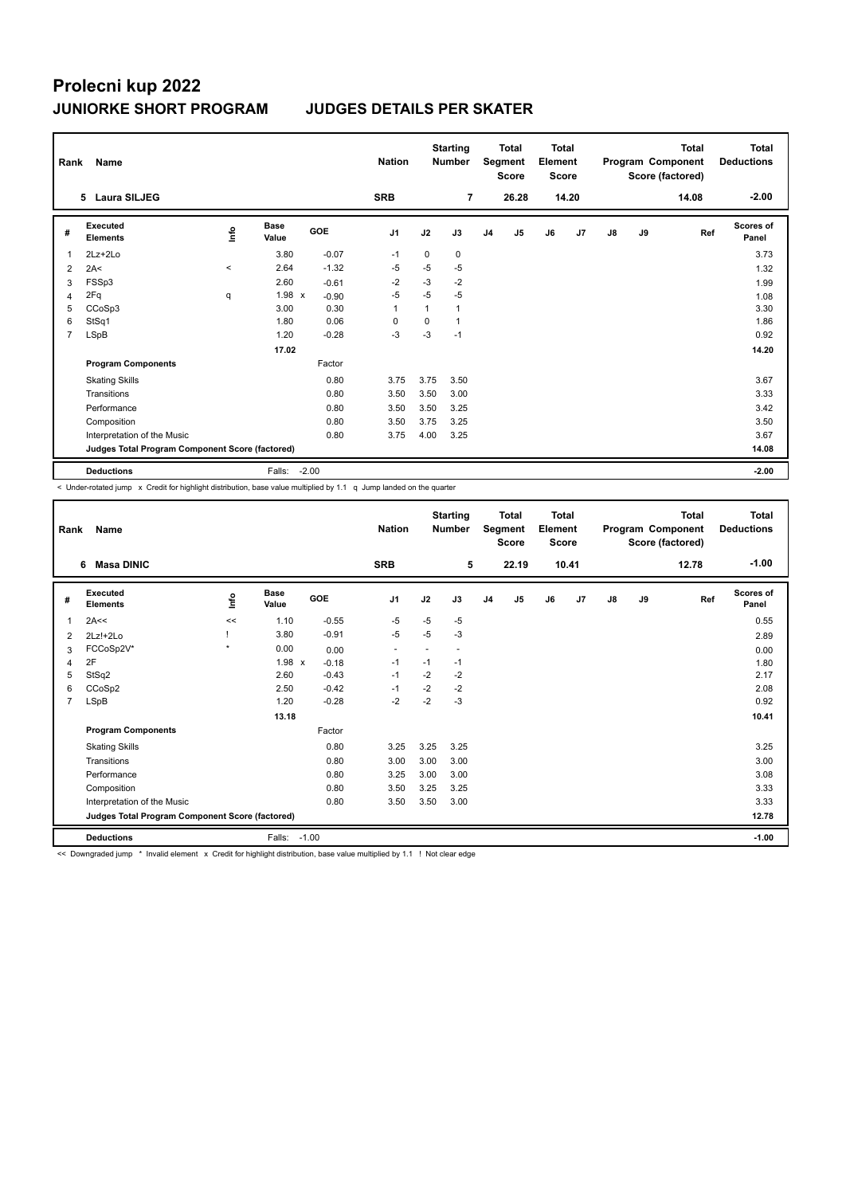|                | Name<br>Rank                                    |       |                      |            | <b>Nation</b>  |          | <b>Starting</b><br><b>Number</b> |                | Total<br>Segment<br><b>Score</b> |    | <b>Total</b><br>Element<br><b>Score</b> |               |    | <b>Total</b><br>Program Component<br>Score (factored) | Total<br><b>Deductions</b> |
|----------------|-------------------------------------------------|-------|----------------------|------------|----------------|----------|----------------------------------|----------------|----------------------------------|----|-----------------------------------------|---------------|----|-------------------------------------------------------|----------------------------|
|                | 5 Laura SILJEG                                  |       |                      |            | <b>SRB</b>     |          | $\overline{7}$                   |                | 26.28                            |    | 14.20                                   |               |    | 14.08                                                 | $-2.00$                    |
| #              | Executed<br><b>Elements</b>                     | Info  | <b>Base</b><br>Value | <b>GOE</b> | J <sub>1</sub> | J2       | J3                               | J <sub>4</sub> | J5                               | J6 | J7                                      | $\mathsf{J}8$ | J9 | Ref                                                   | Scores of<br>Panel         |
| 1              | $2Lz+2Lo$                                       |       | 3.80                 | $-0.07$    | $-1$           | $\Omega$ | 0                                |                |                                  |    |                                         |               |    |                                                       | 3.73                       |
| 2              | 2A<                                             | $\,<$ | 2.64                 | $-1.32$    | -5             | $-5$     | $-5$                             |                |                                  |    |                                         |               |    |                                                       | 1.32                       |
| 3              | FSSp3                                           |       | 2.60                 | $-0.61$    | $-2$           | $-3$     | $-2$                             |                |                                  |    |                                         |               |    |                                                       | 1.99                       |
| 4              | 2Fq                                             | q     | $1.98 \times$        | $-0.90$    | $-5$           | $-5$     | $-5$                             |                |                                  |    |                                         |               |    |                                                       | 1.08                       |
| 5              | CCoSp3                                          |       | 3.00                 | 0.30       | $\overline{1}$ |          | 1                                |                |                                  |    |                                         |               |    |                                                       | 3.30                       |
| 6              | StSq1                                           |       | 1.80                 | 0.06       | 0              | 0        | $\mathbf{1}$                     |                |                                  |    |                                         |               |    |                                                       | 1.86                       |
| $\overline{7}$ | LSpB                                            |       | 1.20                 | $-0.28$    | $-3$           | $-3$     | $-1$                             |                |                                  |    |                                         |               |    |                                                       | 0.92                       |
|                |                                                 |       | 17.02                |            |                |          |                                  |                |                                  |    |                                         |               |    |                                                       | 14.20                      |
|                | <b>Program Components</b>                       |       |                      | Factor     |                |          |                                  |                |                                  |    |                                         |               |    |                                                       |                            |
|                | <b>Skating Skills</b>                           |       |                      | 0.80       | 3.75           | 3.75     | 3.50                             |                |                                  |    |                                         |               |    |                                                       | 3.67                       |
|                | Transitions                                     |       |                      | 0.80       | 3.50           | 3.50     | 3.00                             |                |                                  |    |                                         |               |    |                                                       | 3.33                       |
|                | Performance                                     |       |                      | 0.80       | 3.50           | 3.50     | 3.25                             |                |                                  |    |                                         |               |    |                                                       | 3.42                       |
|                | Composition                                     |       |                      | 0.80       | 3.50           | 3.75     | 3.25                             |                |                                  |    |                                         |               |    |                                                       | 3.50                       |
|                | Interpretation of the Music                     |       |                      | 0.80       | 3.75           | 4.00     | 3.25                             |                |                                  |    |                                         |               |    |                                                       | 3.67                       |
|                | Judges Total Program Component Score (factored) |       |                      |            |                |          |                                  |                |                                  |    |                                         |               |    |                                                       | 14.08                      |
|                | <b>Deductions</b>                               |       | Falls:               | $-2.00$    |                |          |                                  |                |                                  |    |                                         |               |    |                                                       | $-2.00$                    |

< Under-rotated jump x Credit for highlight distribution, base value multiplied by 1.1 q Jump landed on the quarter

| Name<br>Rank   |                                                 |           |                      |         | <b>Nation</b>            |      | <b>Starting</b><br><b>Number</b> | <b>Total</b><br>Segment<br><b>Score</b> |       | <b>Total</b><br>Element<br><b>Score</b> |       |    |    | <b>Total</b><br>Program Component<br>Score (factored) | <b>Total</b><br><b>Deductions</b> |
|----------------|-------------------------------------------------|-----------|----------------------|---------|--------------------------|------|----------------------------------|-----------------------------------------|-------|-----------------------------------------|-------|----|----|-------------------------------------------------------|-----------------------------------|
|                | <b>Masa DINIC</b><br>6                          |           |                      |         | <b>SRB</b>               |      | 5                                |                                         | 22.19 |                                         | 10.41 |    |    | 12.78                                                 | $-1.00$                           |
| #              | Executed<br><b>Elements</b>                     | lnfo      | <b>Base</b><br>Value | GOE     | J1                       | J2   | J3                               | J <sub>4</sub>                          | J5    | J6                                      | J7    | J8 | J9 | Ref                                                   | <b>Scores of</b><br>Panel         |
| 1              | 2A<<                                            | <<        | 1.10                 | $-0.55$ | $-5$                     | $-5$ | $-5$                             |                                         |       |                                         |       |    |    |                                                       | 0.55                              |
| $\overline{2}$ | $2Lz!+2Lo$                                      |           | 3.80                 | $-0.91$ | $-5$                     | $-5$ | $-3$                             |                                         |       |                                         |       |    |    |                                                       | 2.89                              |
| 3              | FCCoSp2V*                                       | $\bullet$ | 0.00                 | 0.00    | $\overline{\phantom{a}}$ |      | $\sim$                           |                                         |       |                                         |       |    |    |                                                       | 0.00                              |
| $\overline{4}$ | 2F                                              |           | $1.98 \times$        | $-0.18$ | $-1$                     | $-1$ | $-1$                             |                                         |       |                                         |       |    |    |                                                       | 1.80                              |
| 5              | StSq2                                           |           | 2.60                 | $-0.43$ | $-1$                     | $-2$ | $-2$                             |                                         |       |                                         |       |    |    |                                                       | 2.17                              |
| 6              | CCoSp2                                          |           | 2.50                 | $-0.42$ | $-1$                     | $-2$ | $-2$                             |                                         |       |                                         |       |    |    |                                                       | 2.08                              |
| $\overline{7}$ | LSpB                                            |           | 1.20                 | $-0.28$ | $-2$                     | $-2$ | $-3$                             |                                         |       |                                         |       |    |    |                                                       | 0.92                              |
|                |                                                 |           | 13.18                |         |                          |      |                                  |                                         |       |                                         |       |    |    |                                                       | 10.41                             |
|                | <b>Program Components</b>                       |           |                      | Factor  |                          |      |                                  |                                         |       |                                         |       |    |    |                                                       |                                   |
|                | <b>Skating Skills</b>                           |           |                      | 0.80    | 3.25                     | 3.25 | 3.25                             |                                         |       |                                         |       |    |    |                                                       | 3.25                              |
|                | Transitions                                     |           |                      | 0.80    | 3.00                     | 3.00 | 3.00                             |                                         |       |                                         |       |    |    |                                                       | 3.00                              |
|                | Performance                                     |           |                      | 0.80    | 3.25                     | 3.00 | 3.00                             |                                         |       |                                         |       |    |    |                                                       | 3.08                              |
|                | Composition                                     |           |                      | 0.80    | 3.50                     | 3.25 | 3.25                             |                                         |       |                                         |       |    |    |                                                       | 3.33                              |
|                | Interpretation of the Music                     |           |                      | 0.80    | 3.50                     | 3.50 | 3.00                             |                                         |       |                                         |       |    |    |                                                       | 3.33                              |
|                | Judges Total Program Component Score (factored) |           |                      |         |                          |      |                                  |                                         |       |                                         |       |    |    |                                                       | 12.78                             |
|                | <b>Deductions</b>                               |           | Falls:               | $-1.00$ |                          |      |                                  |                                         |       |                                         |       |    |    |                                                       | $-1.00$                           |

<< Downgraded jump \* Invalid element x Credit for highlight distribution, base value multiplied by 1.1 ! Not clear edge